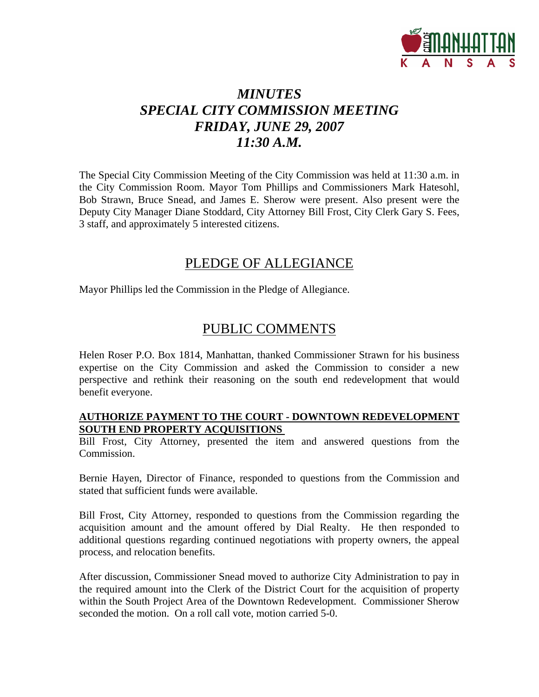

# *MINUTES SPECIAL CITY COMMISSION MEETING FRIDAY, JUNE 29, 2007 11:30 A.M.*

The Special City Commission Meeting of the City Commission was held at 11:30 a.m. in the City Commission Room. Mayor Tom Phillips and Commissioners Mark Hatesohl, Bob Strawn, Bruce Snead, and James E. Sherow were present. Also present were the Deputy City Manager Diane Stoddard, City Attorney Bill Frost, City Clerk Gary S. Fees, 3 staff, and approximately 5 interested citizens.

## PLEDGE OF ALLEGIANCE

Mayor Phillips led the Commission in the Pledge of Allegiance.

## PUBLIC COMMENTS

Helen Roser P.O. Box 1814, Manhattan, thanked Commissioner Strawn for his business expertise on the City Commission and asked the Commission to consider a new perspective and rethink their reasoning on the south end redevelopment that would benefit everyone.

#### **AUTHORIZE PAYMENT TO THE COURT - DOWNTOWN REDEVELOPMENT SOUTH END PROPERTY ACQUISITIONS**

Bill Frost, City Attorney, presented the item and answered questions from the Commission.

Bernie Hayen, Director of Finance, responded to questions from the Commission and stated that sufficient funds were available.

Bill Frost, City Attorney, responded to questions from the Commission regarding the acquisition amount and the amount offered by Dial Realty. He then responded to additional questions regarding continued negotiations with property owners, the appeal process, and relocation benefits.

After discussion, Commissioner Snead moved to authorize City Administration to pay in the required amount into the Clerk of the District Court for the acquisition of property within the South Project Area of the Downtown Redevelopment. Commissioner Sherow seconded the motion. On a roll call vote, motion carried 5-0.